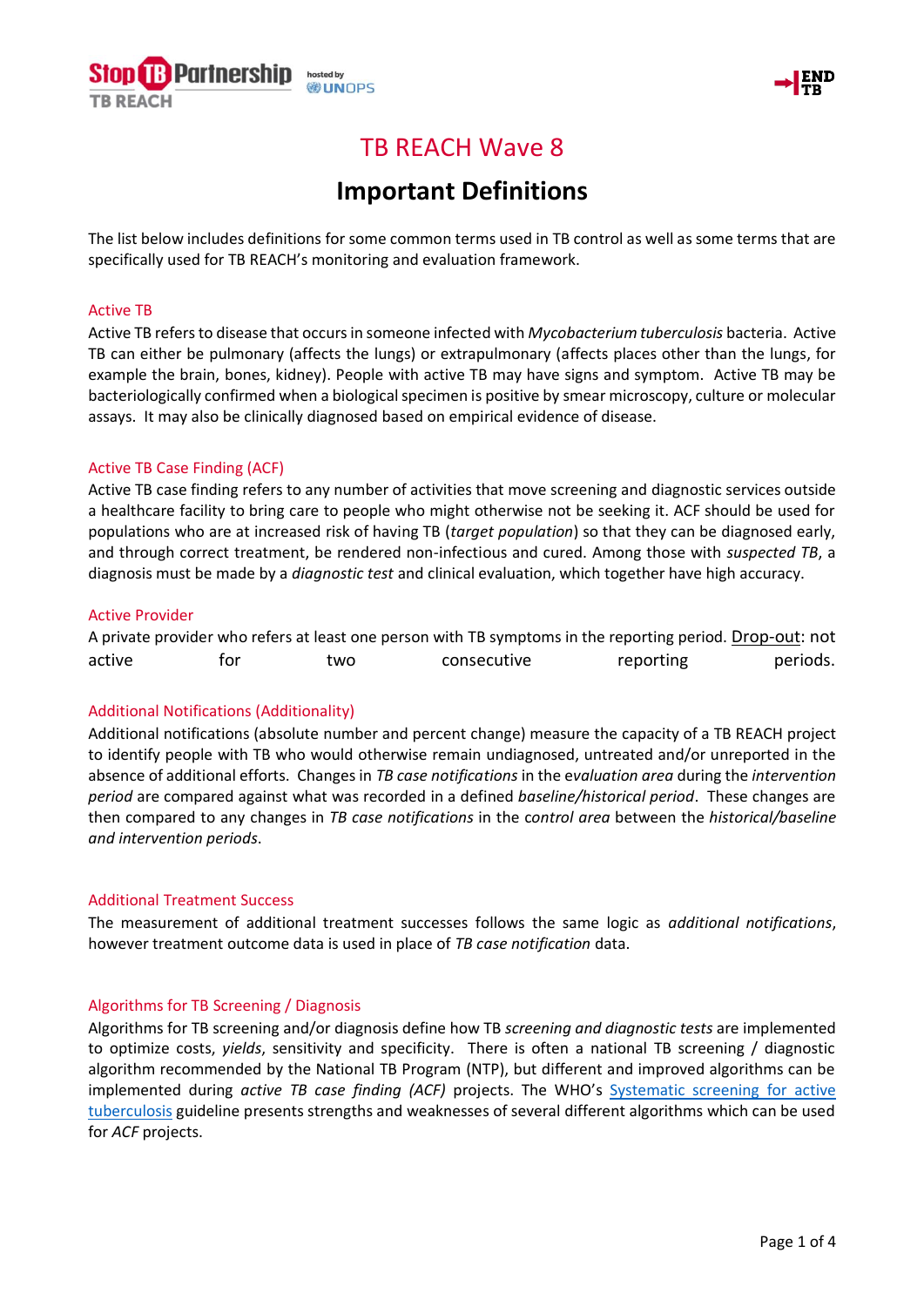



# TB REACH Wave 8

# **Important Definitions**

The list below includes definitions for some common terms used in TB control as well as some terms that are specifically used for TB REACH's monitoring and evaluation framework.

#### Active TB

Active TB refersto disease that occurs in someone infected with *Mycobacterium tuberculosis* bacteria. Active TB can either be pulmonary (affects the lungs) or extrapulmonary (affects places other than the lungs, for example the brain, bones, kidney). People with active TB may have signs and symptom. Active TB may be bacteriologically confirmed when a biological specimen is positive by smear microscopy, culture or molecular assays. It may also be clinically diagnosed based on empirical evidence of disease.

# Active TB Case Finding (ACF)

Active TB case finding refers to any number of activities that move screening and diagnostic services outside a healthcare facility to bring care to people who might otherwise not be seeking it. ACF should be used for populations who are at increased risk of having TB (*target population*) so that they can be diagnosed early, and through correct treatment, be rendered non-infectious and cured. Among those with *suspected TB*, a diagnosis must be made by a *diagnostic test* and clinical evaluation, which together have high accuracy.

# Active Provider

A private provider who refers at least one person with TB symptoms in the reporting period. Drop-out: not active 60 for two consecutive reporting periods.

# Additional Notifications (Additionality)

Additional notifications (absolute number and percent change) measure the capacity of a TB REACH project to identify people with TB who would otherwise remain undiagnosed, untreated and/or unreported in the absence of additional efforts. Changes in *TB case notifications* in the e*valuation area* during the *intervention period* are compared against what was recorded in a defined *baseline/historical period*. These changes are then compared to any changes in *TB case notifications* in the c*ontrol area* between the *historical/baseline and intervention periods*.

#### Additional Treatment Success

The measurement of additional treatment successes follows the same logic as *additional notifications*, however treatment outcome data is used in place of *TB case notification* data.

# Algorithms for TB Screening / Diagnosis

Algorithms for TB screening and/or diagnosis define how TB *screening and diagnostic tests* are implemented to optimize costs, *yields*, sensitivity and specificity. There is often a national TB screening / diagnostic algorithm recommended by the National TB Program (NTP), but different and improved algorithms can be implemented during *active TB case finding (ACF)* projects. The WHO's [Systematic screening for active](http://apps.who.int/iris/bitstream/10665/84971/1/9789241548601_eng.pdf?ua=1)  [tuberculosis](http://apps.who.int/iris/bitstream/10665/84971/1/9789241548601_eng.pdf?ua=1) guideline presents strengths and weaknesses of several different algorithms which can be used for *ACF* projects.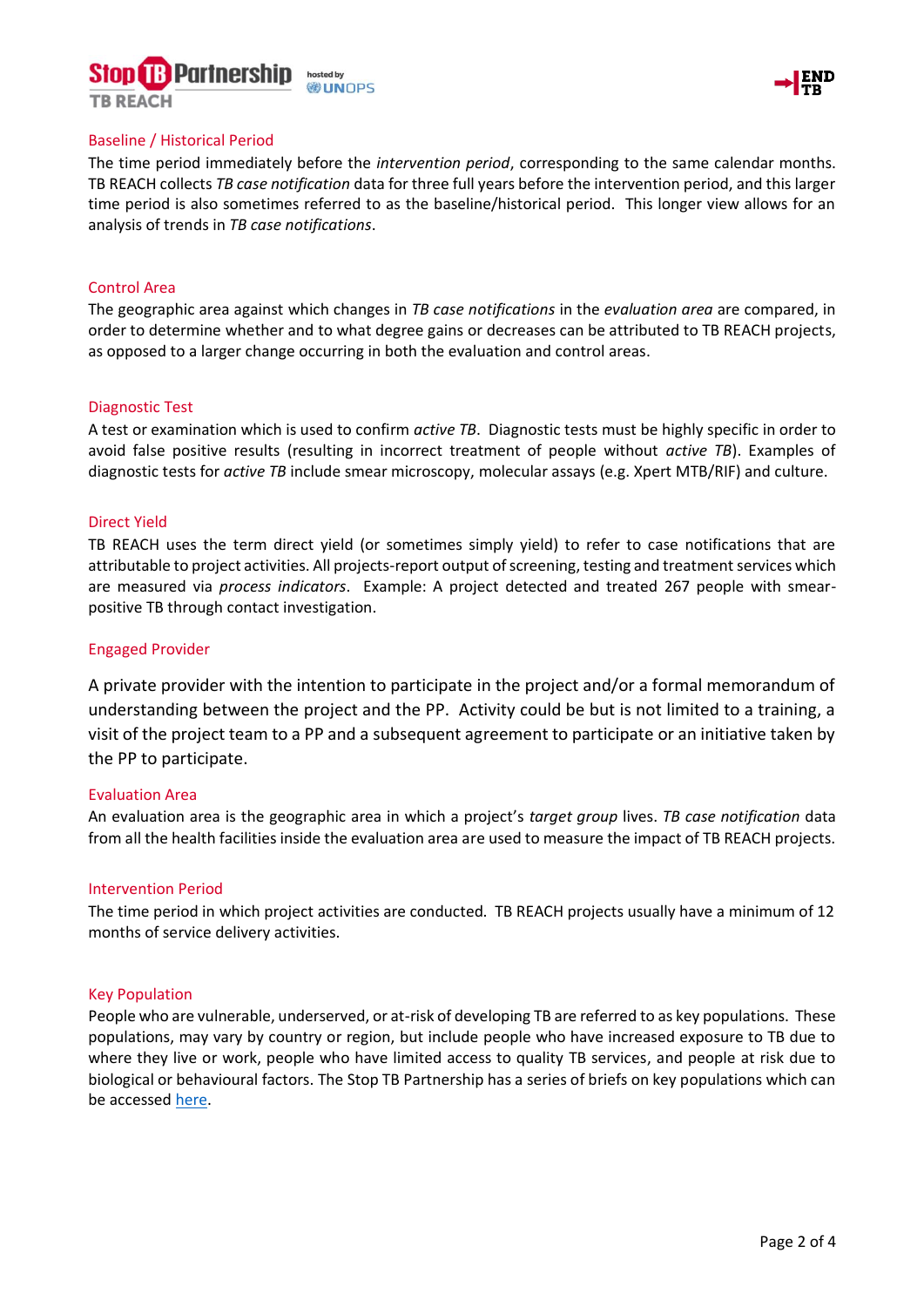# Partnershi **UNOPS**





#### Baseline / Historical Period

The time period immediately before the *intervention period*, corresponding to the same calendar months. TB REACH collects *TB case notification* data for three full years before the intervention period, and this larger time period is also sometimes referred to as the baseline/historical period. This longer view allows for an analysis of trends in *TB case notifications*.

# Control Area

The geographic area against which changes in *TB case notifications* in the *evaluation area* are compared, in order to determine whether and to what degree gains or decreases can be attributed to TB REACH projects, as opposed to a larger change occurring in both the evaluation and control areas.

#### Diagnostic Test

A test or examination which is used to confirm *active TB*. Diagnostic tests must be highly specific in order to avoid false positive results (resulting in incorrect treatment of people without *active TB*). Examples of diagnostic tests for *active TB* include smear microscopy, molecular assays (e.g. Xpert MTB/RIF) and culture.

# Direct Yield

TB REACH uses the term direct yield (or sometimes simply yield) to refer to case notifications that are attributable to project activities. All projects-report output of screening, testing and treatment services which are measured via *process indicators*. Example: A project detected and treated 267 people with smearpositive TB through contact investigation.

#### Engaged Provider

A private provider with the intention to participate in the project and/or a formal memorandum of understanding between the project and the PP. Activity could be but is not limited to a training, a visit of the project team to a PP and a subsequent agreement to participate or an initiative taken by the PP to participate.

#### Evaluation Area

An evaluation area is the geographic area in which a project's *target group* lives. *TB case notification* data from all the health facilities inside the evaluation area are used to measure the impact of TB REACH projects.

#### Intervention Period

The time period in which project activities are conducted. TB REACH projects usually have a minimum of 12 months of service delivery activities.

#### Key Population

People who are vulnerable, underserved, or at-risk of developing TB are referred to as key populations. These populations, may vary by country or region, but include people who have increased exposure to TB due to where they live or work, people who have limited access to quality TB services, and people at risk due to biological or behavioural factors. The Stop TB Partnership has a series of briefs on key populations which can be accessed [here.](http://www.stoptb.org/resources/publications/)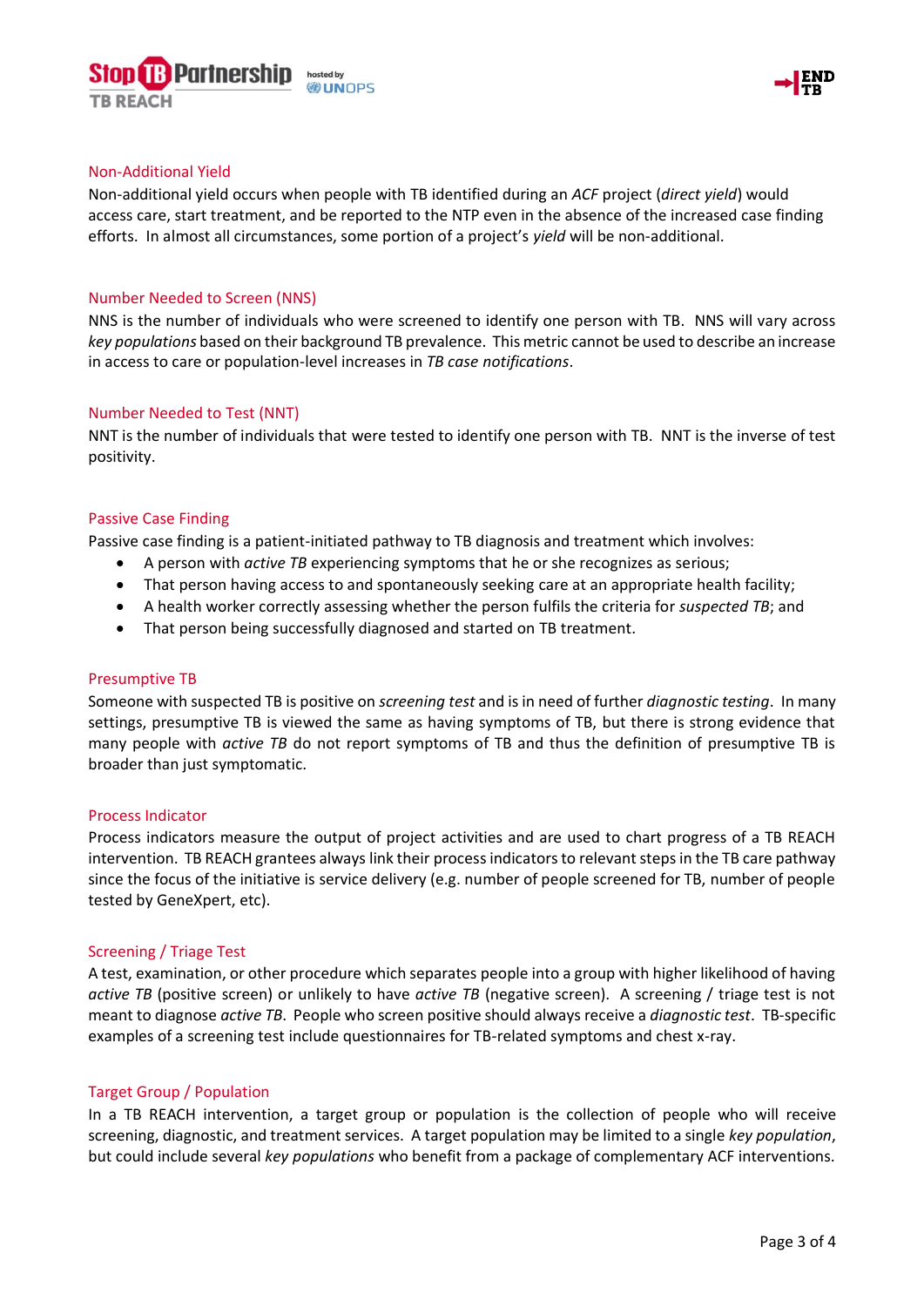



#### Non-Additional Yield

Non-additional yield occurs when people with TB identified during an *ACF* project (*direct yield*) would access care, start treatment, and be reported to the NTP even in the absence of the increased case finding efforts. In almost all circumstances, some portion of a project's *yield* will be non-additional.

# Number Needed to Screen (NNS)

NNS is the number of individuals who were screened to identify one person with TB. NNS will vary across *key populations* based on their background TB prevalence. This metric cannot be used to describe an increase in access to care or population-level increases in *TB case notifications*.

#### Number Needed to Test (NNT)

NNT is the number of individuals that were tested to identify one person with TB. NNT is the inverse of test positivity.

# Passive Case Finding

Passive case finding is a patient-initiated pathway to TB diagnosis and treatment which involves:

- A person with *active TB* experiencing symptoms that he or she recognizes as serious;
- That person having access to and spontaneously seeking care at an appropriate health facility;
- A health worker correctly assessing whether the person fulfils the criteria for *suspected TB*; and
- That person being successfully diagnosed and started on TB treatment.

#### Presumptive TB

Someone with suspected TB is positive on *screening test* and is in need of further *diagnostic testing*. In many settings, presumptive TB is viewed the same as having symptoms of TB, but there is strong evidence that many people with *active TB* do not report symptoms of TB and thus the definition of presumptive TB is broader than just symptomatic.

#### Process Indicator

Process indicators measure the output of project activities and are used to chart progress of a TB REACH intervention. TB REACH grantees always link their process indicatorsto relevant steps in the TB care pathway since the focus of the initiative is service delivery (e.g. number of people screened for TB, number of people tested by GeneXpert, etc).

#### Screening / Triage Test

A test, examination, or other procedure which separates people into a group with higher likelihood of having *active TB* (positive screen) or unlikely to have *active TB* (negative screen). A screening / triage test is not meant to diagnose *active TB*. People who screen positive should always receive a *diagnostic test*. TB-specific examples of a screening test include questionnaires for TB-related symptoms and chest x-ray.

#### Target Group / Population

In a TB REACH intervention, a target group or population is the collection of people who will receive screening, diagnostic, and treatment services. A target population may be limited to a single *key population*, but could include several *key populations* who benefit from a package of complementary ACF interventions.